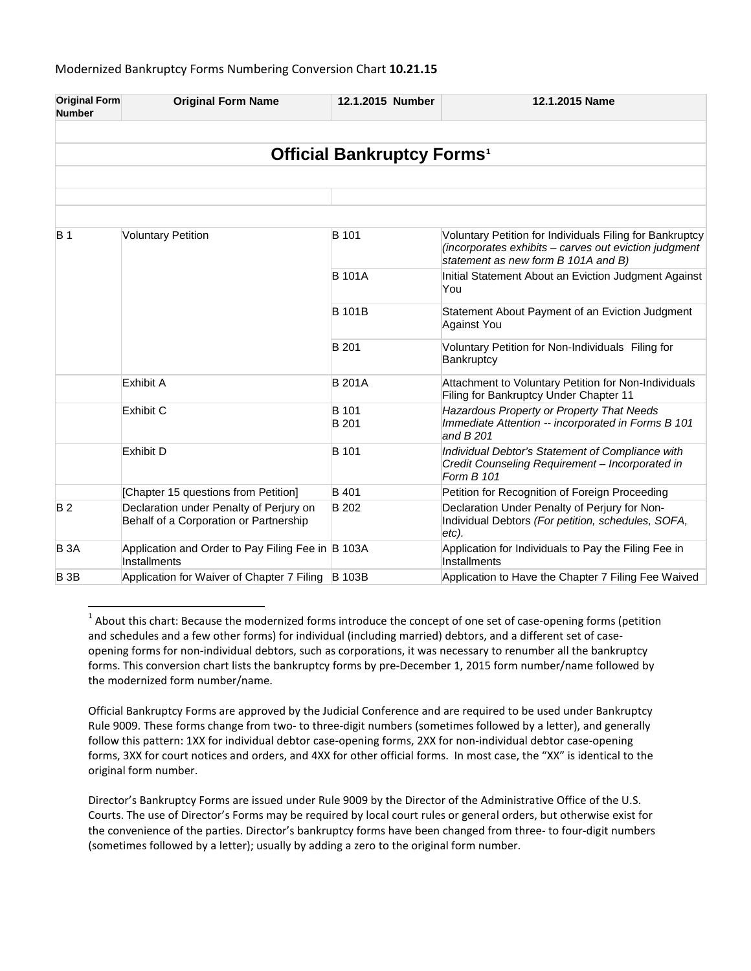| <b>Original Form</b><br><b>Number</b>        | <b>Original Form Name</b>                                                         | 12.1.2015 Number             | 12.1.2015 Name                                                                                                                                           |  |  |  |
|----------------------------------------------|-----------------------------------------------------------------------------------|------------------------------|----------------------------------------------------------------------------------------------------------------------------------------------------------|--|--|--|
|                                              |                                                                                   |                              |                                                                                                                                                          |  |  |  |
| <b>Official Bankruptcy Forms<sup>1</sup></b> |                                                                                   |                              |                                                                                                                                                          |  |  |  |
|                                              |                                                                                   |                              |                                                                                                                                                          |  |  |  |
|                                              |                                                                                   |                              |                                                                                                                                                          |  |  |  |
|                                              |                                                                                   |                              |                                                                                                                                                          |  |  |  |
| <b>B</b> 1                                   | <b>Voluntary Petition</b>                                                         | <b>B</b> 101                 | Voluntary Petition for Individuals Filing for Bankruptcy<br>(incorporates exhibits - carves out eviction judgment<br>statement as new form B 101A and B) |  |  |  |
|                                              |                                                                                   | <b>B</b> 101A                | Initial Statement About an Eviction Judgment Against<br>You                                                                                              |  |  |  |
|                                              |                                                                                   | <b>B</b> 101B                | Statement About Payment of an Eviction Judgment<br><b>Against You</b>                                                                                    |  |  |  |
|                                              |                                                                                   | <b>B</b> 201                 | Voluntary Petition for Non-Individuals Filing for<br>Bankruptcy                                                                                          |  |  |  |
|                                              | <b>Exhibit A</b>                                                                  | <b>B</b> 201A                | Attachment to Voluntary Petition for Non-Individuals<br>Filing for Bankruptcy Under Chapter 11                                                           |  |  |  |
|                                              | Exhibit C                                                                         | <b>B</b> 101<br><b>B</b> 201 | Hazardous Property or Property That Needs<br>Immediate Attention -- incorporated in Forms B 101<br>and B 201                                             |  |  |  |
|                                              | <b>Exhibit D</b>                                                                  | <b>B</b> 101                 | Individual Debtor's Statement of Compliance with<br>Credit Counseling Requirement - Incorporated in<br>Form B 101                                        |  |  |  |
|                                              | [Chapter 15 questions from Petition]                                              | <b>B</b> 401                 | Petition for Recognition of Foreign Proceeding                                                                                                           |  |  |  |
| <b>B2</b>                                    | Declaration under Penalty of Perjury on<br>Behalf of a Corporation or Partnership | <b>B</b> 202                 | Declaration Under Penalty of Perjury for Non-<br>Individual Debtors (For petition, schedules, SOFA,<br>etc).                                             |  |  |  |
| <b>B</b> 3A                                  | Application and Order to Pay Filing Fee in B 103A<br>Installments                 |                              | Application for Individuals to Pay the Filing Fee in<br>Installments                                                                                     |  |  |  |
| <b>B3B</b>                                   | Application for Waiver of Chapter 7 Filing                                        | <b>B</b> 103B                | Application to Have the Chapter 7 Filing Fee Waived                                                                                                      |  |  |  |

<span id="page-0-0"></span> $1$  About this chart: Because the modernized forms introduce the concept of one set of case-opening forms (petition and schedules and a few other forms) for individual (including married) debtors, and a different set of caseopening forms for non-individual debtors, such as corporations, it was necessary to renumber all the bankruptcy forms. This conversion chart lists the bankruptcy forms by pre-December 1, 2015 form number/name followed by the modernized form number/name.

Official Bankruptcy Forms are approved by the Judicial Conference and are required to be used under Bankruptcy Rule 9009. These forms change from two- to three-digit numbers (sometimes followed by a letter), and generally follow this pattern: 1XX for individual debtor case-opening forms, 2XX for non-individual debtor case-opening forms, 3XX for court notices and orders, and 4XX for other official forms. In most case, the "XX" is identical to the original form number.

Director's Bankruptcy Forms are issued under Rule 9009 by the Director of the Administrative Office of the U.S. Courts. The use of Director's Forms may be required by local court rules or general orders, but otherwise exist for the convenience of the parties. Director's bankruptcy forms have been changed from three- to four-digit numbers (sometimes followed by a letter); usually by adding a zero to the original form number.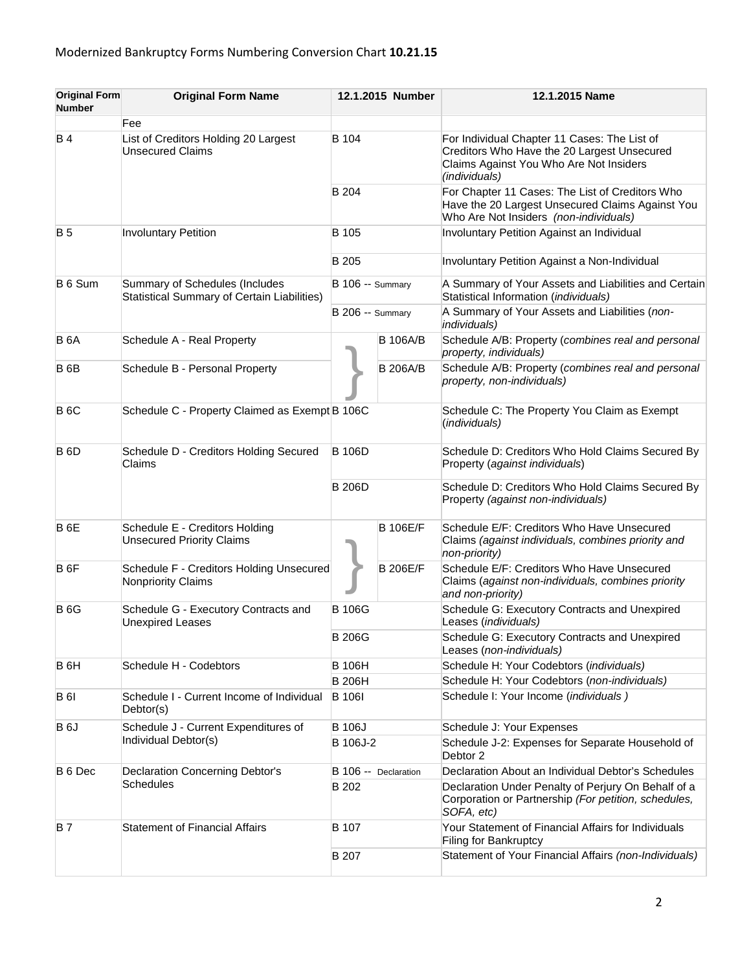| <b>Original Form</b><br><b>Number</b> | <b>Original Form Name</b>                                                     |                               | 12.1.2015 Number | 12.1.2015 Name                                                                                                                                          |
|---------------------------------------|-------------------------------------------------------------------------------|-------------------------------|------------------|---------------------------------------------------------------------------------------------------------------------------------------------------------|
|                                       | Fee                                                                           |                               |                  |                                                                                                                                                         |
| <b>B4</b>                             | List of Creditors Holding 20 Largest<br><b>Unsecured Claims</b>               | B 104                         |                  | For Individual Chapter 11 Cases: The List of<br>Creditors Who Have the 20 Largest Unsecured<br>Claims Against You Who Are Not Insiders<br>(individuals) |
|                                       |                                                                               | B 204                         |                  | For Chapter 11 Cases: The List of Creditors Who<br>Have the 20 Largest Unsecured Claims Against You<br>Who Are Not Insiders (non-individuals)           |
| <b>B5</b>                             | <b>Involuntary Petition</b>                                                   | B 105                         |                  | Involuntary Petition Against an Individual                                                                                                              |
|                                       |                                                                               | B 205                         |                  | Involuntary Petition Against a Non-Individual                                                                                                           |
| B 6 Sum                               | Summary of Schedules (Includes<br>Statistical Summary of Certain Liabilities) | <b>B</b> 106 -- Summary       |                  | A Summary of Your Assets and Liabilities and Certain<br>Statistical Information (individuals)                                                           |
|                                       |                                                                               | <b>B</b> 206 -- Summary       |                  | A Summary of Your Assets and Liabilities (non-<br>individuals)                                                                                          |
| <b>B</b> 6A                           | Schedule A - Real Property                                                    |                               | <b>B</b> 106A/B  | Schedule A/B: Property (combines real and personal<br>property, individuals)                                                                            |
| <b>B</b> 6B                           | Schedule B - Personal Property                                                |                               | <b>B 206A/B</b>  | Schedule A/B: Property (combines real and personal<br>property, non-individuals)                                                                        |
| <b>B</b> 6C                           | Schedule C - Property Claimed as Exempt B 106C                                |                               |                  | Schedule C: The Property You Claim as Exempt<br>(individuals)                                                                                           |
| <b>B</b> 6D                           | Schedule D - Creditors Holding Secured<br>Claims                              | <b>B</b> 106D                 |                  | Schedule D: Creditors Who Hold Claims Secured By<br>Property (against individuals)                                                                      |
|                                       |                                                                               | <b>B206D</b>                  |                  | Schedule D: Creditors Who Hold Claims Secured By<br>Property (against non-individuals)                                                                  |
| B <sub>6E</sub>                       | Schedule E - Creditors Holding<br><b>Unsecured Priority Claims</b>            |                               | <b>B 106E/F</b>  | Schedule E/F: Creditors Who Have Unsecured<br>Claims (against individuals, combines priority and<br>non-priority)                                       |
| B <sub>6F</sub>                       | Schedule F - Creditors Holding Unsecured<br>Nonpriority Claims                |                               | <b>B 206E/F</b>  | Schedule E/F: Creditors Who Have Unsecured<br>Claims (against non-individuals, combines priority<br>and non-priority)                                   |
| <b>B</b> 6G                           | Schedule G - Executory Contracts and<br><b>Unexpired Leases</b>               | <b>B</b> 106G<br><b>B206G</b> |                  | Schedule G: Executory Contracts and Unexpired<br>Leases (individuals)                                                                                   |
|                                       |                                                                               |                               |                  | Schedule G: Executory Contracts and Unexpired<br>Leases (non-individuals)                                                                               |
| B <sub>6</sub> H                      | Schedule H - Codebtors                                                        | <b>B</b> 106H                 |                  | Schedule H: Your Codebtors (individuals)                                                                                                                |
|                                       |                                                                               | <b>B 206H</b>                 |                  | Schedule H: Your Codebtors (non-individuals)                                                                                                            |
| <b>B</b> 61                           | Schedule I - Current Income of Individual<br>Debtor(s)                        | <b>B</b> 106I                 |                  | Schedule I: Your Income (individuals)                                                                                                                   |
| B <sub>6</sub> J                      | Schedule J - Current Expenditures of<br>Individual Debtor(s)                  | <b>B</b> 106J                 |                  | Schedule J: Your Expenses                                                                                                                               |
|                                       |                                                                               | B 106J-2                      |                  | Schedule J-2: Expenses for Separate Household of<br>Debtor 2                                                                                            |
| B 6 Dec                               | <b>Declaration Concerning Debtor's</b>                                        | B 106 -- Declaration<br>B 202 |                  | Declaration About an Individual Debtor's Schedules                                                                                                      |
|                                       | <b>Schedules</b>                                                              |                               |                  | Declaration Under Penalty of Perjury On Behalf of a<br>Corporation or Partnership (For petition, schedules,<br>SOFA, etc)                               |
| <b>B7</b>                             | <b>Statement of Financial Affairs</b>                                         |                               |                  | Your Statement of Financial Affairs for Individuals<br><b>Filing for Bankruptcy</b>                                                                     |
|                                       |                                                                               |                               |                  | Statement of Your Financial Affairs (non-Individuals)                                                                                                   |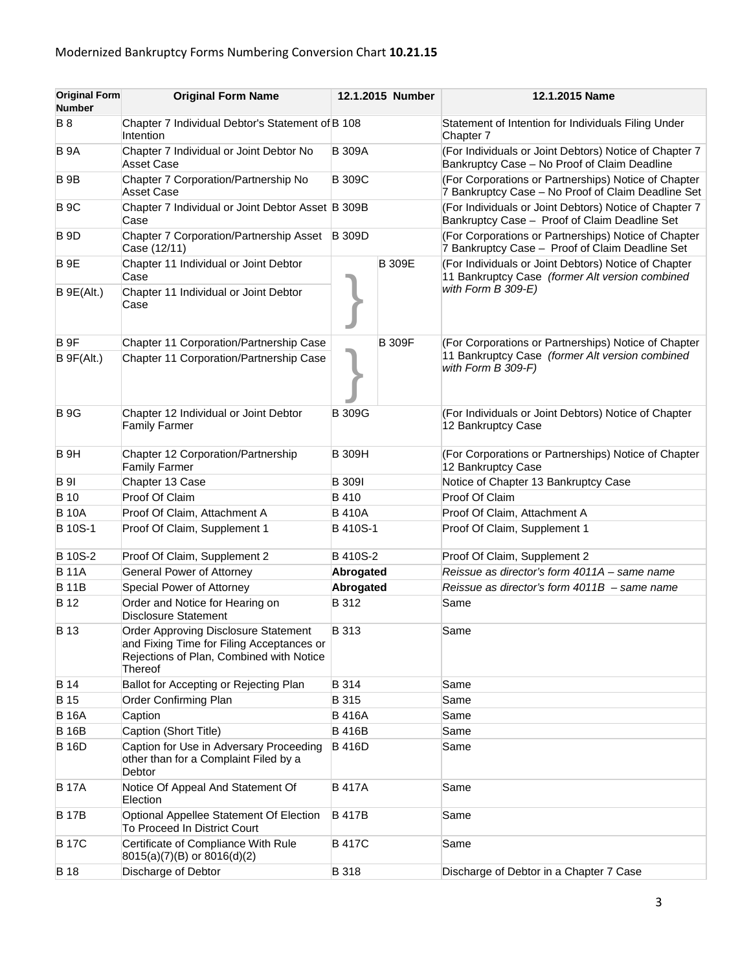| <b>Original Form</b><br><b>Number</b> | <b>Original Form Name</b>                                                                                                                | 12.1.2015 Number |               | 12.1.2015 Name                                                                                             |
|---------------------------------------|------------------------------------------------------------------------------------------------------------------------------------------|------------------|---------------|------------------------------------------------------------------------------------------------------------|
| <b>B</b> 8                            | Chapter 7 Individual Debtor's Statement of B 108<br>Intention                                                                            |                  |               | Statement of Intention for Individuals Filing Under<br>Chapter 7                                           |
| B 9A                                  | Chapter 7 Individual or Joint Debtor No<br><b>Asset Case</b>                                                                             | <b>B</b> 309A    |               | (For Individuals or Joint Debtors) Notice of Chapter 7<br>Bankruptcy Case - No Proof of Claim Deadline     |
| <b>B</b> 9B                           | Chapter 7 Corporation/Partnership No<br><b>Asset Case</b>                                                                                | <b>B</b> 309C    |               | (For Corporations or Partnerships) Notice of Chapter<br>7 Bankruptcy Case - No Proof of Claim Deadline Set |
| <b>B</b> 9C                           | Chapter 7 Individual or Joint Debtor Asset B 309B<br>Case                                                                                |                  |               | (For Individuals or Joint Debtors) Notice of Chapter 7<br>Bankruptcy Case - Proof of Claim Deadline Set    |
| <b>B</b> 9D                           | <b>Chapter 7 Corporation/Partnership Asset</b><br>Case (12/11)                                                                           | <b>B</b> 309D    |               | (For Corporations or Partnerships) Notice of Chapter<br>7 Bankruptcy Case - Proof of Claim Deadline Set    |
| <b>B</b> 9E                           | Chapter 11 Individual or Joint Debtor<br>Case                                                                                            |                  | <b>B</b> 309E | (For Individuals or Joint Debtors) Notice of Chapter<br>11 Bankruptcy Case (former Alt version combined    |
| B 9E(Alt.)                            | Chapter 11 Individual or Joint Debtor<br>Case                                                                                            |                  |               | with Form B 309-E)                                                                                         |
| B <sub>9F</sub>                       | Chapter 11 Corporation/Partnership Case                                                                                                  |                  | <b>B</b> 309F | (For Corporations or Partnerships) Notice of Chapter                                                       |
| B 9F(Alt.)                            | Chapter 11 Corporation/Partnership Case                                                                                                  |                  |               | 11 Bankruptcy Case (former Alt version combined<br>with Form B 309-F)                                      |
| <b>B</b> 9G                           | Chapter 12 Individual or Joint Debtor<br><b>Family Farmer</b>                                                                            | <b>B</b> 309G    |               | (For Individuals or Joint Debtors) Notice of Chapter<br>12 Bankruptcy Case                                 |
| B <sub>9H</sub>                       | Chapter 12 Corporation/Partnership<br><b>Family Farmer</b>                                                                               | <b>B</b> 309H    |               | (For Corporations or Partnerships) Notice of Chapter<br>12 Bankruptcy Case                                 |
| <b>B</b> 91                           | Chapter 13 Case                                                                                                                          | <b>B</b> 309I    |               | Notice of Chapter 13 Bankruptcy Case                                                                       |
| <b>B</b> 10                           | Proof Of Claim                                                                                                                           | <b>B</b> 410     |               | Proof Of Claim                                                                                             |
| <b>B</b> 10A                          | Proof Of Claim, Attachment A                                                                                                             | <b>B410A</b>     |               | Proof Of Claim, Attachment A                                                                               |
| <b>B</b> 10S-1                        | Proof Of Claim, Supplement 1                                                                                                             | <b>B</b> 410S-1  |               | Proof Of Claim, Supplement 1                                                                               |
| <b>B</b> 10S-2                        | Proof Of Claim, Supplement 2                                                                                                             | B 410S-2         |               | Proof Of Claim, Supplement 2                                                                               |
| <b>B</b> 11A                          | <b>General Power of Attorney</b>                                                                                                         | Abrogated        |               | Reissue as director's form 4011A - same name                                                               |
| <b>B11B</b>                           | Special Power of Attorney                                                                                                                | Abrogated        |               | Reissue as director's form $4011B -$ same name                                                             |
| B 12                                  | Order and Notice for Hearing on<br><b>Disclosure Statement</b>                                                                           | B 312            |               | Same                                                                                                       |
| <b>B</b> 13                           | Order Approving Disclosure Statement<br>and Fixing Time for Filing Acceptances or<br>Rejections of Plan, Combined with Notice<br>Thereof | <b>B</b> 313     |               | Same                                                                                                       |
| <b>B</b> 14                           | Ballot for Accepting or Rejecting Plan                                                                                                   | B 314            |               | Same                                                                                                       |
| B 15                                  | Order Confirming Plan                                                                                                                    | B 315            |               | Same                                                                                                       |
| <b>B</b> 16A                          | Caption                                                                                                                                  | <b>B416A</b>     |               | Same                                                                                                       |
| <b>B</b> 16B                          | Caption (Short Title)                                                                                                                    | <b>B416B</b>     |               | Same                                                                                                       |
| <b>B</b> 16D                          | Caption for Use in Adversary Proceeding<br>other than for a Complaint Filed by a<br>Debtor                                               | <b>B416D</b>     |               | Same                                                                                                       |
| <b>B</b> 17A                          | Notice Of Appeal And Statement Of<br>Election                                                                                            | <b>B</b> 417A    |               | Same                                                                                                       |
| <b>B</b> 17B                          | Optional Appellee Statement Of Election<br>To Proceed In District Court                                                                  | <b>B</b> 417B    |               | Same                                                                                                       |
| <b>B</b> 17C                          | Certificate of Compliance With Rule<br>$8015(a)(7)(B)$ or $8016(d)(2)$                                                                   | <b>B417C</b>     |               | Same                                                                                                       |
| <b>B</b> 18                           | Discharge of Debtor                                                                                                                      | <b>B</b> 318     |               | Discharge of Debtor in a Chapter 7 Case                                                                    |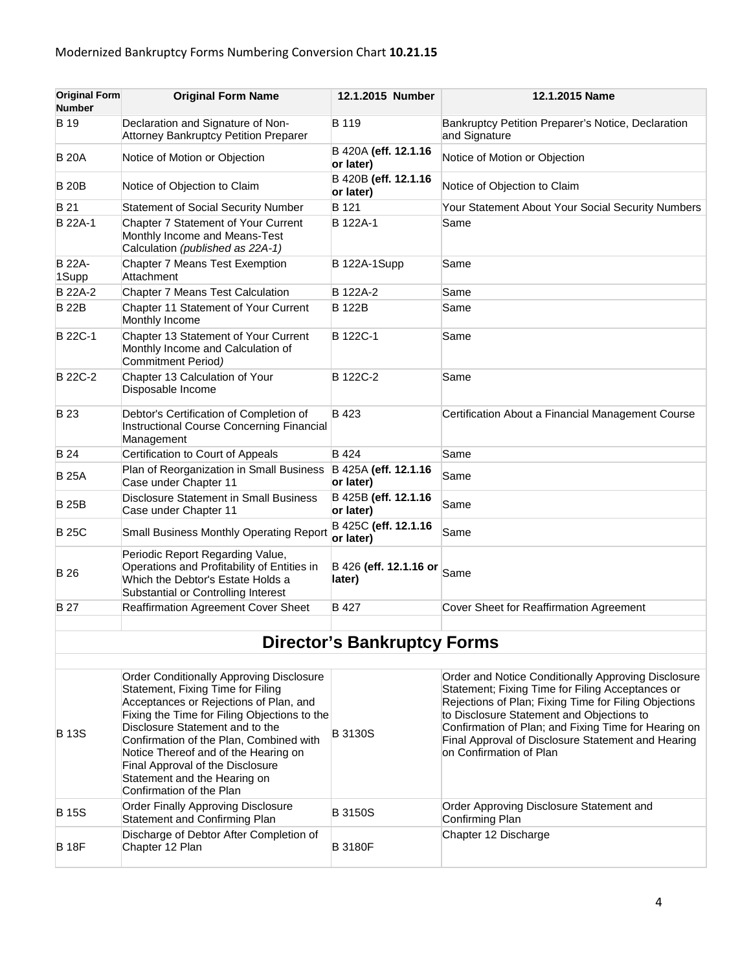| <b>Original Form</b><br><b>Number</b> | <b>Original Form Name</b>                                                                                                                                   | 12.1.2015 Number                  | 12.1.2015 Name                                                      |
|---------------------------------------|-------------------------------------------------------------------------------------------------------------------------------------------------------------|-----------------------------------|---------------------------------------------------------------------|
| B 19                                  | Declaration and Signature of Non-<br><b>Attorney Bankruptcy Petition Preparer</b>                                                                           | B 119                             | Bankruptcy Petition Preparer's Notice, Declaration<br>and Signature |
| <b>B</b> 20A                          | Notice of Motion or Objection                                                                                                                               | B 420A (eff. 12.1.16<br>or later) | Notice of Motion or Objection                                       |
| <b>B20B</b>                           | Notice of Objection to Claim                                                                                                                                | B 420B (eff. 12.1.16<br>or later) | Notice of Objection to Claim                                        |
| B 21                                  | <b>Statement of Social Security Number</b>                                                                                                                  | B 121                             | Your Statement About Your Social Security Numbers                   |
| B 22A-1                               | Chapter 7 Statement of Your Current<br>Monthly Income and Means-Test<br>Calculation (published as 22A-1)                                                    | B 122A-1                          | Same                                                                |
| <b>B 22A-</b><br>1Supp                | Chapter 7 Means Test Exemption<br>Attachment                                                                                                                | B 122A-1Supp                      | Same                                                                |
| <b>B</b> 22A-2                        | Chapter 7 Means Test Calculation                                                                                                                            | B 122A-2                          | Same                                                                |
| <b>B22B</b>                           | Chapter 11 Statement of Your Current<br>Monthly Income                                                                                                      | <b>B</b> 122B                     | Same                                                                |
| <b>B</b> 22C-1                        | Chapter 13 Statement of Your Current<br>Monthly Income and Calculation of<br>Commitment Period)                                                             | B 122C-1                          | Same                                                                |
| <b>B</b> 22C-2                        | Chapter 13 Calculation of Your<br>Disposable Income                                                                                                         | B 122C-2                          | Same                                                                |
| <b>B23</b>                            | Debtor's Certification of Completion of<br>Instructional Course Concerning Financial<br>Management                                                          | B 423                             | Certification About a Financial Management Course                   |
| <b>B</b> 24                           | Certification to Court of Appeals                                                                                                                           | <b>B</b> 424                      | Same                                                                |
| <b>B</b> 25A                          | Plan of Reorganization in Small Business<br>Case under Chapter 11                                                                                           | B 425A (eff. 12.1.16<br>or later) | Same                                                                |
| <b>B25B</b>                           | <b>Disclosure Statement in Small Business</b><br>Case under Chapter 11                                                                                      | B 425B (eff. 12.1.16<br>or later) | Same                                                                |
| <b>B25C</b>                           | Small Business Monthly Operating Report                                                                                                                     | B 425C (eff. 12.1.16<br>or later) | Same                                                                |
| <b>B</b> 26                           | Periodic Report Regarding Value,<br>Operations and Profitability of Entities in<br>Which the Debtor's Estate Holds a<br>Substantial or Controlling Interest | B 426 (eff. 12.1.16 or<br>later)  | Same                                                                |
| B 27                                  | <b>Reaffirmation Agreement Cover Sheet</b>                                                                                                                  | <b>B</b> 427                      | Cover Sheet for Reaffirmation Agreement                             |
|                                       |                                                                                                                                                             |                                   |                                                                     |

## **Director's Bankruptcy Forms**

| <b>B</b> 13S | <b>Order Conditionally Approving Disclosure</b><br>Statement, Fixing Time for Filing<br>Acceptances or Rejections of Plan, and<br>Fixing the Time for Filing Objections to the<br>Disclosure Statement and to the<br>Confirmation of the Plan, Combined with<br>Notice Thereof and of the Hearing on<br>Final Approval of the Disclosure<br>Statement and the Hearing on<br>Confirmation of the Plan | <b>B3130S</b>  | Order and Notice Conditionally Approving Disclosure<br>Statement; Fixing Time for Filing Acceptances or<br>Rejections of Plan; Fixing Time for Filing Objections<br>to Disclosure Statement and Objections to<br>Confirmation of Plan; and Fixing Time for Hearing on<br>Final Approval of Disclosure Statement and Hearing<br>on Confirmation of Plan |
|--------------|------------------------------------------------------------------------------------------------------------------------------------------------------------------------------------------------------------------------------------------------------------------------------------------------------------------------------------------------------------------------------------------------------|----------------|--------------------------------------------------------------------------------------------------------------------------------------------------------------------------------------------------------------------------------------------------------------------------------------------------------------------------------------------------------|
| <b>B</b> 15S | Order Finally Approving Disclosure<br>Statement and Confirming Plan                                                                                                                                                                                                                                                                                                                                  | <b>B</b> 3150S | Order Approving Disclosure Statement and<br>Confirming Plan                                                                                                                                                                                                                                                                                            |
| <b>B</b> 18F | Discharge of Debtor After Completion of<br>Chapter 12 Plan                                                                                                                                                                                                                                                                                                                                           | <b>B3180F</b>  | Chapter 12 Discharge                                                                                                                                                                                                                                                                                                                                   |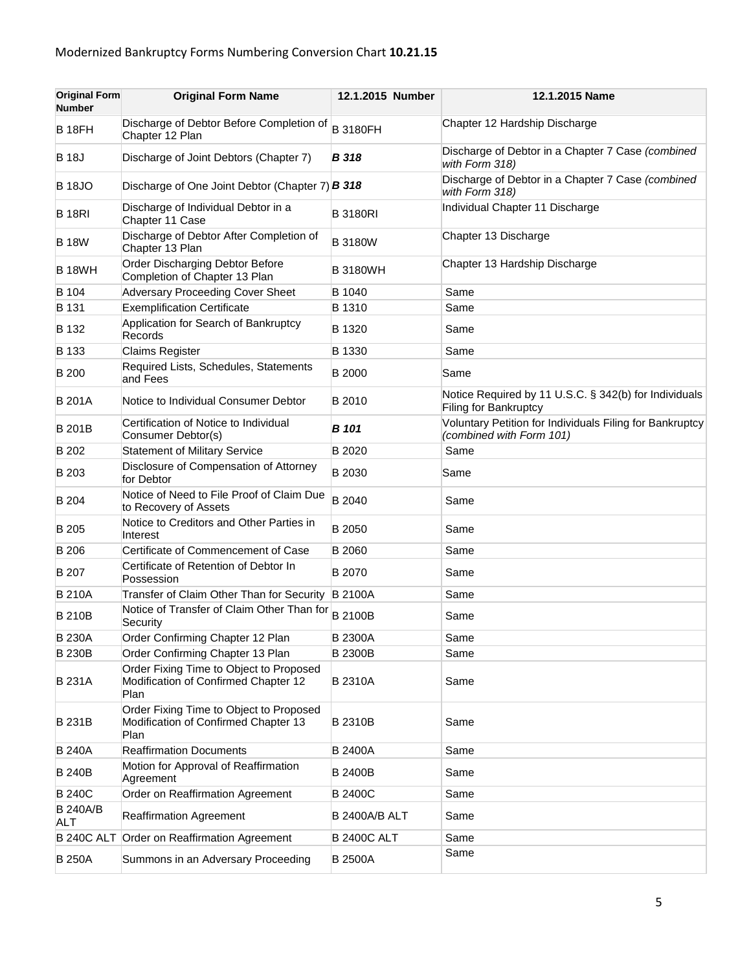| <b>Original Form</b><br><b>Number</b> | <b>Original Form Name</b>                                                               | 12.1.2015 Number     | 12.1.2015 Name                                                                       |
|---------------------------------------|-----------------------------------------------------------------------------------------|----------------------|--------------------------------------------------------------------------------------|
| <b>B</b> 18FH                         | Discharge of Debtor Before Completion of<br>Chapter 12 Plan                             | <b>B</b> 3180FH      | Chapter 12 Hardship Discharge                                                        |
| <b>B</b> 18J                          | Discharge of Joint Debtors (Chapter 7)                                                  | <b>B</b> 318         | Discharge of Debtor in a Chapter 7 Case (combined<br>with Form 318)                  |
| <b>B</b> 18JO                         | Discharge of One Joint Debtor (Chapter 7) <b>B 318</b>                                  |                      | Discharge of Debtor in a Chapter 7 Case (combined<br>with Form 318)                  |
| <b>B</b> 18RI                         | Discharge of Individual Debtor in a<br>Chapter 11 Case                                  | <b>B3180RI</b>       | Individual Chapter 11 Discharge                                                      |
| <b>B</b> 18W                          | Discharge of Debtor After Completion of<br>Chapter 13 Plan                              | <b>B</b> 3180W       | Chapter 13 Discharge                                                                 |
| <b>B</b> 18WH                         | Order Discharging Debtor Before<br>Completion of Chapter 13 Plan                        | <b>B3180WH</b>       | Chapter 13 Hardship Discharge                                                        |
| B 104                                 | Adversary Proceeding Cover Sheet                                                        | B 1040               | Same                                                                                 |
| B 131                                 | <b>Exemplification Certificate</b>                                                      | <b>B</b> 1310        | Same                                                                                 |
| B 132                                 | Application for Search of Bankruptcy<br>Records                                         | B 1320               | Same                                                                                 |
| B 133                                 | <b>Claims Register</b>                                                                  | B 1330               | Same                                                                                 |
| <b>B</b> 200                          | Required Lists, Schedules, Statements<br>and Fees                                       | <b>B</b> 2000        | Same                                                                                 |
| <b>B</b> 201A                         | Notice to Individual Consumer Debtor                                                    | B 2010               | Notice Required by 11 U.S.C. § 342(b) for Individuals<br>Filing for Bankruptcy       |
| <b>B201B</b>                          | Certification of Notice to Individual<br>Consumer Debtor(s)                             | B 101                | Voluntary Petition for Individuals Filing for Bankruptcy<br>(combined with Form 101) |
| B 202                                 | <b>Statement of Military Service</b>                                                    | B 2020               | Same                                                                                 |
| B 203                                 | Disclosure of Compensation of Attorney<br>for Debtor                                    | B 2030               | Same                                                                                 |
| B 204                                 | Notice of Need to File Proof of Claim Due<br>to Recovery of Assets                      | B 2040               | Same                                                                                 |
| B 205                                 | Notice to Creditors and Other Parties in<br>Interest                                    | <b>B</b> 2050        | Same                                                                                 |
| <b>B</b> 206                          | Certificate of Commencement of Case                                                     | B 2060               | Same                                                                                 |
| B 207                                 | Certificate of Retention of Debtor In<br>Possession                                     | B 2070               | Same                                                                                 |
| <b>B210A</b>                          | Transfer of Claim Other Than for Security                                               | <b>B2100A</b>        | Same                                                                                 |
| <b>B210B</b>                          | Notice of Transfer of Claim Other Than for<br>Security                                  | <b>B2100B</b>        | Same                                                                                 |
| <b>B230A</b>                          | Order Confirming Chapter 12 Plan                                                        | <b>B2300A</b>        | Same                                                                                 |
| <b>B230B</b>                          | Order Confirming Chapter 13 Plan                                                        | <b>B2300B</b>        | Same                                                                                 |
| <b>B231A</b>                          | Order Fixing Time to Object to Proposed<br>Modification of Confirmed Chapter 12<br>Plan | <b>B2310A</b>        | Same                                                                                 |
| <b>B231B</b>                          | Order Fixing Time to Object to Proposed<br>Modification of Confirmed Chapter 13<br>Plan | <b>B2310B</b>        | Same                                                                                 |
| <b>B240A</b>                          | <b>Reaffirmation Documents</b>                                                          | <b>B2400A</b>        | Same                                                                                 |
| <b>B240B</b>                          | Motion for Approval of Reaffirmation<br>Agreement                                       | <b>B2400B</b>        | Same                                                                                 |
| <b>B240C</b>                          | Order on Reaffirmation Agreement                                                        | <b>B2400C</b>        | Same                                                                                 |
| <b>B 240A/B</b><br><b>ALT</b>         | <b>Reaffirmation Agreement</b>                                                          | <b>B 2400A/B ALT</b> | Same                                                                                 |
|                                       | B 240C ALT Order on Reaffirmation Agreement                                             | <b>B 2400C ALT</b>   | Same                                                                                 |
| <b>B</b> 250A                         | Summons in an Adversary Proceeding                                                      | <b>B 2500A</b>       | Same                                                                                 |